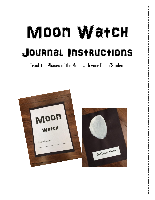## Moon Watch Journal Instructions

Track the Phases of the Moon with your Child/Student

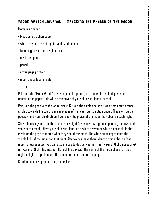#### Moon Watch Journal – Tracking the Phases of The Moon

Materials Needed:

- black construction paper
- white crayons or white paint and paint brushes
- tape or glue (bottles or gluesticks)
- circle template
- pencil
- cover page printout
- moon phase label sheets

#### To Start:

Print out the "Moon Watch" cover page and tape or glue to one of the black pieces of construction paper. This will be the cover of your child/student's journal.

Print out the page with the white circle. Cut out the circle and use it as a template to trace circles towards the top of several pieces of the black construction paper. These will be the pages where your child/student will show the phase of the moon they observe each night.

Start observing: look for the moon every night (or every few nights, depending on how much you want to track). Have your child/student use a white crayon or white paint to fill in the circle on the page to match what they see of the moon. The white color represents the visible light of the moon for that night. Afterwards, have them identify which phase of the moon is represented (you can also choose to decide whether it is "waxing" (light increasing) or "waning" (light decreasing). Cut out the box with the name of the moon phase for that night and glue/tape beneath the moon on the bottom of the page.

Continue observing for as long as desired.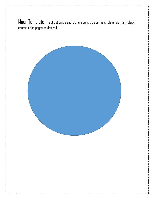Moon Template – cut out circle and, using a pencil, trace the circle on as many black construction pages as desired

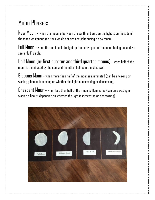### Moon Phases:

New Moon - when the moon is between the earth and sun, so the light is on the side of the moon we cannot see, thus we do not see any light during a new moon.

Full Moon – when the sun is able to light up the entire part of the moon facing us, and we see a "full" circle.

Half Moon (or first quarter and third quarter moons) - when half of the moon is illuminated by the sun, and the other half is in the shadows.

Gibbous Moon – when more than half of the moon is illuminated (can be a waxing or waning gibbous depending on whether the light is increasing or decreasing).

Crescent Moon – when less than half of the moon is illuminated (can be a waxing or waning gibbous, depending on whether the light is increasing or decreasing)

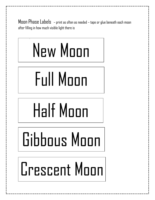Moon Phase Labels – print as often as needed – tape or glue beneath each moon after filling in how much visible light there is



Crescent Moon